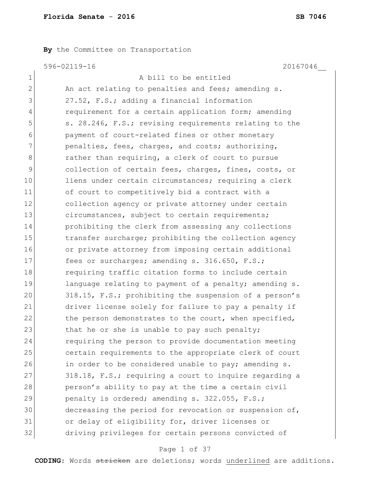**By** the Committee on Transportation

596-02119-16 20167046\_\_

| A bill to be entitled                                  |
|--------------------------------------------------------|
| An act relating to penalties and fees; amending s.     |
| 27.52, F.S.; adding a financial information            |
| requirement for a certain application form; amending   |
| s. 28.246, F.S.; revising requirements relating to the |
| payment of court-related fines or other monetary       |
| penalties, fees, charges, and costs; authorizing,      |
| rather than requiring, a clerk of court to pursue      |
| collection of certain fees, charges, fines, costs, or  |
| liens under certain circumstances; requiring a clerk   |
| of court to competitively bid a contract with a        |
| collection agency or private attorney under certain    |
| circumstances, subject to certain requirements;        |
| prohibiting the clerk from assessing any collections   |
| transfer surcharge; prohibiting the collection agency  |
| or private attorney from imposing certain additional   |
| fees or surcharges; amending s. 316.650, F.S.;         |
| requiring traffic citation forms to include certain    |
| language relating to payment of a penalty; amending s. |
| 318.15, F.S.; prohibiting the suspension of a person's |
| driver license solely for failure to pay a penalty if  |
| the person demonstrates to the court, when specified,  |
| that he or she is unable to pay such penalty;          |
| requiring the person to provide documentation meeting  |
| certain requirements to the appropriate clerk of court |
| in order to be considered unable to pay; amending s.   |
| 318.18, F.S.; requiring a court to inquire regarding a |
| person's ability to pay at the time a certain civil    |
| penalty is ordered; amending s. 322.055, F.S.;         |
| decreasing the period for revocation or suspension of, |
| or delay of eligibility for, driver licenses or        |
| driving privileges for certain persons convicted of    |
|                                                        |

# Page 1 of 37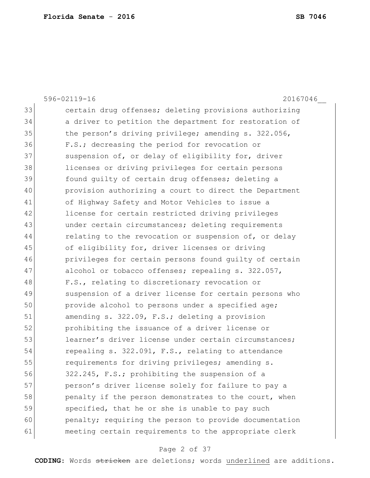596-02119-16 20167046\_\_ 33 certain drug offenses; deleting provisions authorizing 34 a driver to petition the department for restoration of 35 the person's driving privilege; amending s. 322.056, 36 F.S.; decreasing the period for revocation or 37 Suspension of, or delay of eligibility for, driver 38 licenses or driving privileges for certain persons 39 found guilty of certain drug offenses; deleting a 40 provision authorizing a court to direct the Department 41 of Highway Safety and Motor Vehicles to issue a 42 license for certain restricted driving privileges 43 under certain circumstances; deleting requirements 44 relating to the revocation or suspension of, or delay 45 of eligibility for, driver licenses or driving 46 privileges for certain persons found guilty of certain 47 alcohol or tobacco offenses; repealing s. 322.057, 48 F.S., relating to discretionary revocation or 49 Suspension of a driver license for certain persons who 50 provide alcohol to persons under a specified age; 51 amending s. 322.09, F.S.; deleting a provision 52 prohibiting the issuance of a driver license or 53 learner's driver license under certain circumstances: 54 repealing s. 322.091, F.S., relating to attendance 55 **requirements for driving privileges; amending s.** 56 322.245, F.S.; prohibiting the suspension of a 57 person's driver license solely for failure to pay a 58 penalty if the person demonstrates to the court, when 59 specified, that he or she is unable to pay such 60 penalty; requiring the person to provide documentation 61 meeting certain requirements to the appropriate clerk

#### Page 2 of 37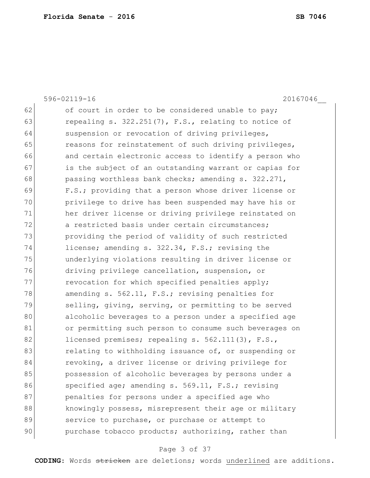|    | $596 - 02119 - 16$<br>20167046                         |
|----|--------------------------------------------------------|
| 62 | of court in order to be considered unable to pay;      |
| 63 | repealing s. 322.251(7), F.S., relating to notice of   |
| 64 | suspension or revocation of driving privileges,        |
| 65 | reasons for reinstatement of such driving privileges,  |
| 66 | and certain electronic access to identify a person who |
| 67 | is the subject of an outstanding warrant or capias for |
| 68 | passing worthless bank checks; amending s. 322.271,    |
| 69 | F.S.; providing that a person whose driver license or  |
| 70 | privilege to drive has been suspended may have his or  |
| 71 | her driver license or driving privilege reinstated on  |
| 72 | a restricted basis under certain circumstances;        |
| 73 | providing the period of validity of such restricted    |
| 74 | license; amending s. 322.34, F.S.; revising the        |
| 75 | underlying violations resulting in driver license or   |
| 76 | driving privilege cancellation, suspension, or         |
| 77 | revocation for which specified penalties apply;        |
| 78 | amending s. 562.11, F.S.; revising penalties for       |
| 79 | selling, giving, serving, or permitting to be served   |
| 80 | alcoholic beverages to a person under a specified age  |
| 81 | or permitting such person to consume such beverages on |
| 82 | licensed premises; repealing s. 562.111(3), F.S.,      |
| 83 | relating to withholding issuance of, or suspending or  |
| 84 | revoking, a driver license or driving privilege for    |
| 85 | possession of alcoholic beverages by persons under a   |
| 86 | specified age; amending s. 569.11, F.S.; revising      |
| 87 | penalties for persons under a specified age who        |
| 88 | knowingly possess, misrepresent their age or military  |
| 89 | service to purchase, or purchase or attempt to         |
| 90 | purchase tobacco products; authorizing, rather than    |

# Page 3 of 37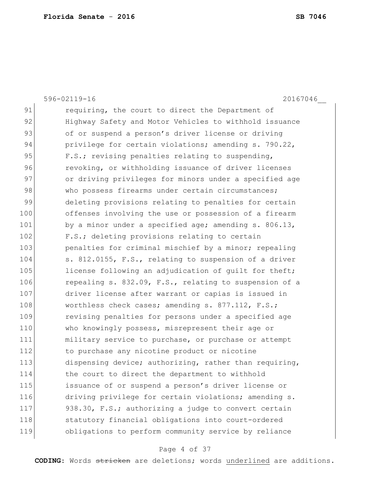596-02119-16 20167046\_\_ 91 requiring, the court to direct the Department of 92 Highway Safety and Motor Vehicles to withhold issuance 93 of or suspend a person's driver license or driving 94 privilege for certain violations; amending s. 790.22, 95 F.S.; revising penalties relating to suspending, 96 revoking, or withholding issuance of driver licenses 97 or driving privileges for minors under a specified age 98 who possess firearms under certain circumstances; 99 deleting provisions relating to penalties for certain 100 offenses involving the use or possession of a firearm 101 by a minor under a specified age; amending s. 806.13, 102 F.S.; deleting provisions relating to certain 103 **penalties for criminal mischief by a minor; repealing** 104 s. 812.0155, F.S., relating to suspension of a driver 105 license following an adjudication of quilt for theft; 106 repealing s. 832.09, F.S., relating to suspension of a 107 driver license after warrant or capias is issued in 108 worthless check cases; amending s. 877.112, F.S.; 109 **revising penalties for persons under a specified age** 110 Who knowingly possess, misrepresent their age or 111 military service to purchase, or purchase or attempt 112 to purchase any nicotine product or nicotine 113 dispensing device; authorizing, rather than requiring, 114 the court to direct the department to withhold 115 issuance of or suspend a person's driver license or 116 driving privilege for certain violations; amending s. 117 938.30, F.S.; authorizing a judge to convert certain 118 statutory financial obligations into court-ordered 119 obligations to perform community service by reliance

### Page 4 of 37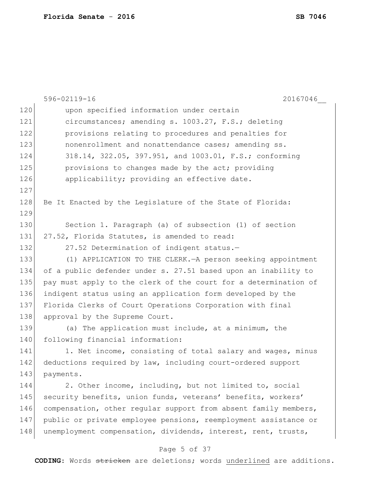|     | 596-02119-16<br>20167046                                        |
|-----|-----------------------------------------------------------------|
| 120 | upon specified information under certain                        |
| 121 | circumstances; amending s. 1003.27, F.S.; deleting              |
| 122 | provisions relating to procedures and penalties for             |
| 123 | nonenrollment and nonattendance cases; amending ss.             |
| 124 | 318.14, 322.05, 397.951, and 1003.01, F.S.; conforming          |
| 125 | provisions to changes made by the act; providing                |
| 126 | applicability; providing an effective date.                     |
| 127 |                                                                 |
| 128 | Be It Enacted by the Legislature of the State of Florida:       |
| 129 |                                                                 |
| 130 | Section 1. Paragraph (a) of subsection (1) of section           |
| 131 | 27.52, Florida Statutes, is amended to read:                    |
| 132 | 27.52 Determination of indigent status.-                        |
| 133 | (1) APPLICATION TO THE CLERK. - A person seeking appointment    |
| 134 | of a public defender under s. 27.51 based upon an inability to  |
| 135 | pay must apply to the clerk of the court for a determination of |
| 136 | indigent status using an application form developed by the      |
| 137 | Florida Clerks of Court Operations Corporation with final       |
| 138 | approval by the Supreme Court.                                  |
| 139 | (a) The application must include, at a minimum, the             |
| 140 | following financial information:                                |
| 141 | 1. Net income, consisting of total salary and wages, minus      |
| 142 | deductions required by law, including court-ordered support     |
| 143 | payments.                                                       |
| 144 | 2. Other income, including, but not limited to, social          |
| 145 | security benefits, union funds, veterans' benefits, workers'    |
| 146 | compensation, other regular support from absent family members, |
| 147 | public or private employee pensions, reemployment assistance or |
| 148 | unemployment compensation, dividends, interest, rent, trusts,   |
|     |                                                                 |

# Page 5 of 37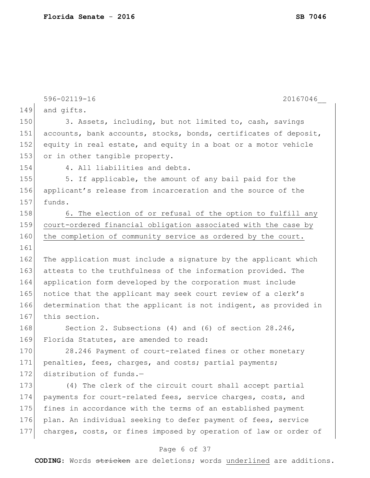|     | 596-02119-16<br>20167046                                         |
|-----|------------------------------------------------------------------|
| 149 | and gifts.                                                       |
| 150 | 3. Assets, including, but not limited to, cash, savings          |
| 151 | accounts, bank accounts, stocks, bonds, certificates of deposit, |
| 152 | equity in real estate, and equity in a boat or a motor vehicle   |
| 153 | or in other tangible property.                                   |
| 154 | 4. All liabilities and debts.                                    |
| 155 | 5. If applicable, the amount of any bail paid for the            |
| 156 | applicant's release from incarceration and the source of the     |
| 157 | funds.                                                           |
| 158 | 6. The election of or refusal of the option to fulfill any       |
| 159 | court-ordered financial obligation associated with the case by   |
| 160 | the completion of community service as ordered by the court.     |
| 161 |                                                                  |
| 162 | The application must include a signature by the applicant which  |
| 163 | attests to the truthfulness of the information provided. The     |
| 164 | application form developed by the corporation must include       |
| 165 | notice that the applicant may seek court review of a clerk's     |
| 166 | determination that the applicant is not indigent, as provided in |
| 167 | this section.                                                    |
| 168 | Section 2. Subsections (4) and (6) of section 28.246,            |
| 169 | Florida Statutes, are amended to read:                           |
| 170 | 28.246 Payment of court-related fines or other monetary          |
| 171 | penalties, fees, charges, and costs; partial payments;           |
| 172 | distribution of funds.-                                          |
| 173 | (4) The clerk of the circuit court shall accept partial          |
| 174 | payments for court-related fees, service charges, costs, and     |
| 175 | fines in accordance with the terms of an established payment     |
| 176 | plan. An individual seeking to defer payment of fees, service    |
| 177 | charges, costs, or fines imposed by operation of law or order of |
|     |                                                                  |

### Page 6 of 37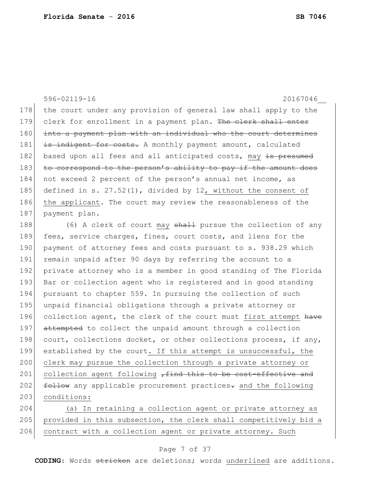596-02119-16 20167046\_\_ 178 the court under any provision of general law shall apply to the 179 clerk for enrollment in a payment plan. The clerk shall enter 180 into a payment plan with an individual who the court determines 181 is indigent for costs. A monthly payment amount, calculated 182 based upon all fees and all anticipated costs, may is presumed 183 to correspond to the person's ability to pay if the amount does 184 not exceed 2 percent of the person's annual net income, as 185 defined in s. 27.52(1), divided by 12, without the consent of 186 the applicant. The court may review the reasonableness of the 187 payment plan. 188 (6) A clerk of court may shall pursue the collection of any

189 fees, service charges, fines, court costs, and liens for the 190 payment of attorney fees and costs pursuant to s. 938.29 which 191 remain unpaid after 90 days by referring the account to a 192 private attorney who is a member in good standing of The Florida 193 Bar or collection agent who is registered and in good standing 194 pursuant to chapter 559. In pursuing the collection of such 195 unpaid financial obligations through a private attorney or 196 collection agent, the clerk of the court must first attempt have 197 attempted to collect the unpaid amount through a collection 198 court, collections docket, or other collections process, if any, 199 established by the court. If this attempt is unsuccessful, the 200 clerk may pursue the collection through a private attorney or 201 collection agent following  $\tau$  find this to be cost-effective and 202 **follow** any applicable procurement practices- and the following 203 conditions:

204 (a) In retaining a collection agent or private attorney as 205 provided in this subsection, the clerk shall competitively bid a 206 contract with a collection agent or private attorney. Such

### Page 7 of 37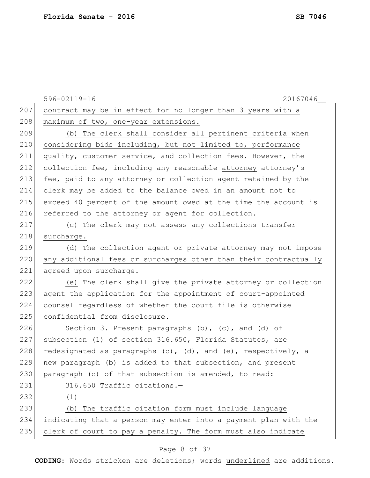|     | 596-02119-16<br>20167046                                               |
|-----|------------------------------------------------------------------------|
| 207 | contract may be in effect for no longer than 3 years with a            |
| 208 | maximum of two, one-year extensions.                                   |
| 209 | (b) The clerk shall consider all pertinent criteria when               |
| 210 | considering bids including, but not limited to, performance            |
| 211 | quality, customer service, and collection fees. However, the           |
| 212 | collection fee, including any reasonable attorney attorney's           |
| 213 | fee, paid to any attorney or collection agent retained by the          |
| 214 | clerk may be added to the balance owed in an amount not to             |
| 215 | exceed 40 percent of the amount owed at the time the account is        |
| 216 | referred to the attorney or agent for collection.                      |
| 217 | (c) The clerk may not assess any collections transfer                  |
| 218 | surcharge.                                                             |
| 219 | (d) The collection agent or private attorney may not impose            |
| 220 | any additional fees or surcharges other than their contractually       |
| 221 | agreed upon surcharge.                                                 |
| 222 | (e) The clerk shall give the private attorney or collection            |
| 223 | agent the application for the appointment of court-appointed           |
| 224 | counsel regardless of whether the court file is otherwise              |
| 225 | confidential from disclosure.                                          |
| 226 | Section 3. Present paragraphs $(b)$ , $(c)$ , and $(d)$ of             |
| 227 | subsection (1) of section 316.650, Florida Statutes, are               |
| 228 | redesignated as paragraphs $(c)$ , $(d)$ , and $(e)$ , respectively, a |
| 229 | new paragraph (b) is added to that subsection, and present             |
| 230 | paragraph (c) of that subsection is amended, to read:                  |
| 231 | 316.650 Traffic citations.-                                            |
| 232 | (1)                                                                    |
| 233 | The traffic citation form must include language<br>(b)                 |
| 234 | indicating that a person may enter into a payment plan with the        |
| 235 | clerk of court to pay a penalty. The form must also indicate           |
|     |                                                                        |

### Page 8 of 37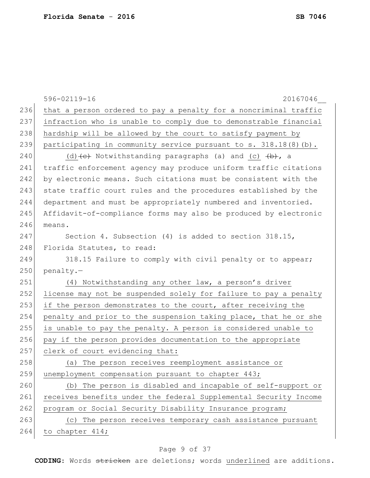|     | 596-02119-16<br>20167046                                                                 |
|-----|------------------------------------------------------------------------------------------|
| 236 | that a person ordered to pay a penalty for a noncriminal traffic                         |
| 237 | infraction who is unable to comply due to demonstrable financial                         |
| 238 | hardship will be allowed by the court to satisfy payment by                              |
| 239 | participating in community service pursuant to s. $318.18(8)(b)$ .                       |
| 240 | (d) $\left\{ e\right\}$ Notwithstanding paragraphs (a) and (c) $\left\{ \pm\right\}$ , a |
| 241 | traffic enforcement agency may produce uniform traffic citations                         |
| 242 | by electronic means. Such citations must be consistent with the                          |
| 243 | state traffic court rules and the procedures established by the                          |
| 244 | department and must be appropriately numbered and inventoried.                           |
| 245 | Affidavit-of-compliance forms may also be produced by electronic                         |
| 246 | means.                                                                                   |
| 247 | Section 4. Subsection $(4)$ is added to section 318.15,                                  |
| 248 | Florida Statutes, to read:                                                               |
| 249 | 318.15 Failure to comply with civil penalty or to appear;                                |
| 250 | penalty.-                                                                                |
| 251 | (4) Notwithstanding any other law, a person's driver                                     |
| 252 | license may not be suspended solely for failure to pay a penalty                         |
| 253 | if the person demonstrates to the court, after receiving the                             |
| 254 | penalty and prior to the suspension taking place, that he or she                         |
| 255 | is unable to pay the penalty. A person is considered unable to                           |
| 256 | pay if the person provides documentation to the appropriate                              |
| 257 | clerk of court evidencing that:                                                          |
| 258 | (a) The person receives reemployment assistance or                                       |
| 259 | unemployment compensation pursuant to chapter 443;                                       |
| 260 | (b) The person is disabled and incapable of self-support or                              |
| 261 | receives benefits under the federal Supplemental Security Income                         |
| 262 | program or Social Security Disability Insurance program;                                 |
| 263 | (c) The person receives temporary cash assistance pursuant                               |
| 264 | to chapter 414;                                                                          |

# Page 9 of 37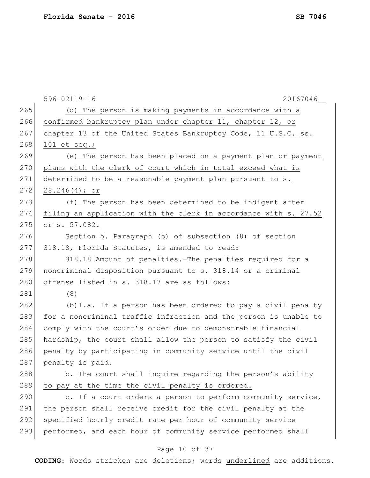|     | 20167046<br>596-02119-16                                         |
|-----|------------------------------------------------------------------|
| 265 | (d) The person is making payments in accordance with a           |
| 266 | confirmed bankruptcy plan under chapter 11, chapter 12, or       |
| 267 | chapter 13 of the United States Bankruptcy Code, 11 U.S.C. ss.   |
| 268 | 101 et seq.;                                                     |
| 269 | (e) The person has been placed on a payment plan or payment      |
| 270 | plans with the clerk of court which in total exceed what is      |
| 271 | determined to be a reasonable payment plan pursuant to s.        |
| 272 | $28.246(4);$ or                                                  |
| 273 | (f) The person has been determined to be indigent after          |
| 274 | filing an application with the clerk in accordance with s. 27.52 |
| 275 | or s. 57.082.                                                    |
| 276 | Section 5. Paragraph (b) of subsection (8) of section            |
| 277 | 318.18, Florida Statutes, is amended to read:                    |
| 278 | 318.18 Amount of penalties. The penalties required for a         |
| 279 | noncriminal disposition pursuant to s. 318.14 or a criminal      |
| 280 | offense listed in s. 318.17 are as follows:                      |
| 281 | (8)                                                              |
| 282 | $(b) 1.a.$ If a person has been ordered to pay a civil penalty   |
| 283 | for a noncriminal traffic infraction and the person is unable to |
| 284 | comply with the court's order due to demonstrable financial      |
| 285 | hardship, the court shall allow the person to satisfy the civil  |
| 286 | penalty by participating in community service until the civil    |
| 287 | penalty is paid.                                                 |
| 288 | b. The court shall inquire regarding the person's ability        |
| 289 | to pay at the time the civil penalty is ordered.                 |
| 290 | c. If a court orders a person to perform community service,      |
| 291 | the person shall receive credit for the civil penalty at the     |
| 292 | specified hourly credit rate per hour of community service       |
| 293 | performed, and each hour of community service performed shall    |
|     | Page 10 of 37                                                    |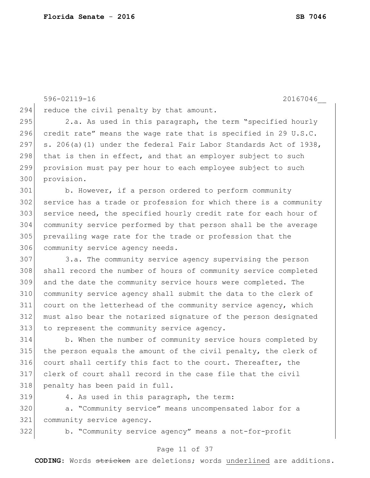294 reduce the civil penalty by that amount. 295 2.a. As used in this paragraph, the term "specified hourly 296 credit rate" means the wage rate that is specified in 29 U.S.C. s. 206(a)(1) under the federal Fair Labor Standards Act of 1938, that is then in effect, and that an employer subject to such provision must pay per hour to each employee subject to such provision. b. However, if a person ordered to perform community service has a trade or profession for which there is a community service need, the specified hourly credit rate for each hour of community service performed by that person shall be the average prevailing wage rate for the trade or profession that the 306 community service agency needs. 3.a. The community service agency supervising the person shall record the number of hours of community service completed and the date the community service hours were completed. The community service agency shall submit the data to the clerk of 311 court on the letterhead of the community service agency, which must also bear the notarized signature of the person designated 313 to represent the community service agency. b. When the number of community service hours completed by the person equals the amount of the civil penalty, the clerk of court shall certify this fact to the court. Thereafter, the clerk of court shall record in the case file that the civil 318 penalty has been paid in full. 4. As used in this paragraph, the term:

 a. "Community service" means uncompensated labor for a community service agency.

b. "Community service agency" means a not-for-profit

#### Page 11 of 37

**CODING**: Words stricken are deletions; words underlined are additions.

596-02119-16 20167046\_\_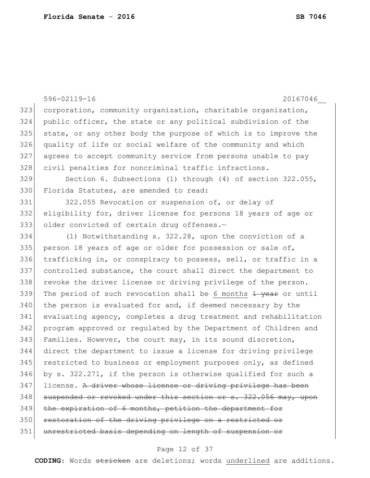596-02119-16 20167046\_\_ 323 corporation, community organization, charitable organization, 324 public officer, the state or any political subdivision of the 325 state, or any other body the purpose of which is to improve the 326 quality of life or social welfare of the community and which 327 agrees to accept community service from persons unable to pay 328 civil penalties for noncriminal traffic infractions. 329 Section 6. Subsections (1) through (4) of section 322.055, 330 Florida Statutes, are amended to read: 331 322.055 Revocation or suspension of, or delay of 332 eligibility for, driver license for persons 18 years of age or 333 older convicted of certain drug offenses.-334 (1) Notwithstanding s. 322.28, upon the conviction of a 335 person 18 years of age or older for possession or sale of, 336 trafficking in, or conspiracy to possess, sell, or traffic in a 337 controlled substance, the court shall direct the department to 338 revoke the driver license or driving privilege of the person. 339 The period of such revocation shall be 6 months  $\frac{1}{1}$  year or until  $340$  the person is evaluated for and, if deemed necessary by the 341 evaluating agency, completes a drug treatment and rehabilitation 342 program approved or regulated by the Department of Children and 343 Families. However, the court may, in its sound discretion, 344 direct the department to issue a license for driving privilege 345 restricted to business or employment purposes only, as defined 346 by s. 322.271, if the person is otherwise qualified for such a 347 license. A driver whose license or driving privilege has been  $348$  suspended or revoked under this section or s.  $322.056$  may, upon 349 the expiration of 6 months, petition the department for 350 restoration of the driving privilege on a restricted or 351 unrestricted basis depending on length of suspension or

#### Page 12 of 37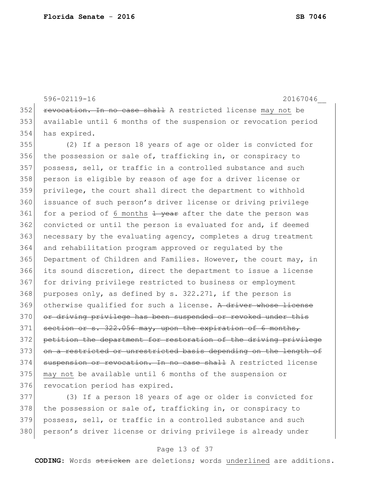596-02119-16 20167046\_\_ 352 revocation. In no case shall A restricted license may not be 353 available until 6 months of the suspension or revocation period 354 has expired.

355 (2) If a person 18 years of age or older is convicted for 356 the possession or sale of, trafficking in, or conspiracy to 357 possess, sell, or traffic in a controlled substance and such 358 person is eligible by reason of age for a driver license or 359 privilege, the court shall direct the department to withhold 360 issuance of such person's driver license or driving privilege 361 for a period of 6 months  $\frac{1}{2}$  year after the date the person was 362 convicted or until the person is evaluated for and, if deemed 363 necessary by the evaluating agency, completes a drug treatment 364 and rehabilitation program approved or regulated by the 365 Department of Children and Families. However, the court may, in 366 its sound discretion, direct the department to issue a license 367 for driving privilege restricted to business or employment 368 purposes only, as defined by s.  $322.271$ , if the person is 369 otherwise qualified for such a license. A driver whose license 370 or driving privilege has been suspended or revoked under this 371 section or s. 322.056 may, upon the expiration of 6 months, 372 petition the department for restoration of the driving privilege 373 on a restricted or unrestricted basis depending on the length of 374 suspension or revocation. In no case shall A restricted license 375 may not be available until 6 months of the suspension or 376 revocation period has expired.

377 (3) If a person 18 years of age or older is convicted for 378 the possession or sale of, trafficking in, or conspiracy to 379 possess, sell, or traffic in a controlled substance and such 380 | person's driver license or driving privilege is already under

#### Page 13 of 37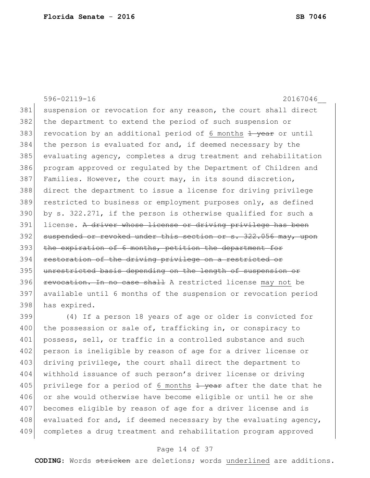596-02119-16 20167046\_\_ 381 suspension or revocation for any reason, the court shall direct 382 the department to extend the period of such suspension or 383 revocation by an additional period of 6 months  $\frac{1}{1}$  year or until 384 the person is evaluated for and, if deemed necessary by the 385 evaluating agency, completes a drug treatment and rehabilitation 386 program approved or regulated by the Department of Children and 387 Families. However, the court may, in its sound discretion, 388 direct the department to issue a license for driving privilege 389 restricted to business or employment purposes only, as defined 390 by s. 322.271, if the person is otherwise qualified for such a 391 license. A driver whose license or driving privilege has been 392 suspended or revoked under this section or s. 322.056 may, upon 393 the expiration of 6 months, petition the department for 394 restoration of the driving privilege on a restricted or 395 unrestricted basis depending on the length of suspension or 396 revocation. In no case shall A restricted license may not be 397 available until 6 months of the suspension or revocation period 398 has expired.

399 (4) If a person 18 years of age or older is convicted for 400 the possession or sale of, trafficking in, or conspiracy to 401 possess, sell, or traffic in a controlled substance and such 402 person is ineligible by reason of age for a driver license or 403 driving privilege, the court shall direct the department to 404 withhold issuance of such person's driver license or driving 405 privilege for a period of 6 months  $\frac{1}{1}$  year after the date that he 406 or she would otherwise have become eligible or until he or she 407 becomes eligible by reason of age for a driver license and is 408 evaluated for and, if deemed necessary by the evaluating agency, 409 completes a drug treatment and rehabilitation program approved

#### Page 14 of 37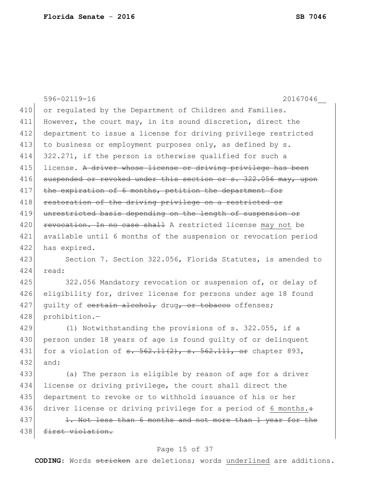596-02119-16 20167046\_\_ 410 or regulated by the Department of Children and Families. 411 However, the court may, in its sound discretion, direct the 412 department to issue a license for driving privilege restricted 413 to business or employment purposes only, as defined by s. 414 322.271, if the person is otherwise qualified for such a 415 license. A driver whose license or driving privilege has been 416 suspended or revoked under this section or s. 322.056 may, upon 417 the expiration of 6 months, petition the department for 418 restoration of the driving privilege on a restricted or 419 unrestricted basis depending on the length of suspension or 420 **revocation.** In no case shall A restricted license may not be 421 available until 6 months of the suspension or revocation period 422 has expired. 423 Section 7. Section 322.056, Florida Statutes, is amended to 424 read: 425 322.056 Mandatory revocation or suspension of, or delay of 426 eligibility for, driver license for persons under age 18 found 427 quilty of certain alcohol, drug, or tobacco offenses; 428 prohibition.— 429 (1) Notwithstanding the provisions of s. 322.055, if a 430 person under 18 years of age is found quilty of or delinquent 431 for a violation of  $s. 562.11(2)$ ,  $s. 562.111$ , or chapter 893, 432 and: 433 (a) The person is eligible by reason of age for a driver 434 license or driving privilege, the court shall direct the 435 department to revoke or to withhold issuance of his or her 436 driver license or driving privilege for a period of 6 months. $\div$ 437 1. Not less than 6 months and not more than 1 year for the 438 first violation.

### Page 15 of 37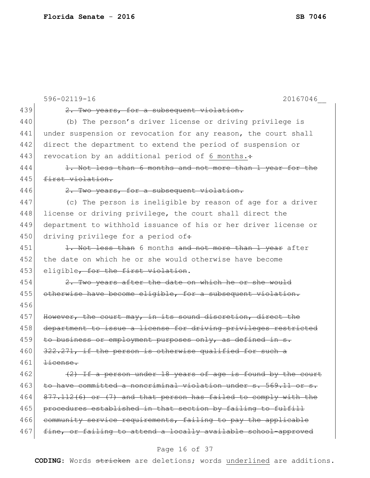|     | 596-02119-16<br>20167046                                        |
|-----|-----------------------------------------------------------------|
| 439 | 2. Two years, for a subsequent violation.                       |
| 440 | (b) The person's driver license or driving privilege is         |
| 441 | under suspension or revocation for any reason, the court shall  |
| 442 | direct the department to extend the period of suspension or     |
| 443 | revocation by an additional period of 6 months.:                |
| 444 | 1. Not less than 6 months and not more than 1 year for the      |
| 445 | first violation.                                                |
| 446 | 2. Two years, for a subsequent violation.                       |
| 447 | (c) The person is ineligible by reason of age for a driver      |
| 448 | license or driving privilege, the court shall direct the        |
| 449 | department to withhold issuance of his or her driver license or |
| 450 | driving privilege for a period of:                              |
| 451 | 1. Not less than 6 months and not more than 1 year after        |
| 452 | the date on which he or she would otherwise have become         |
| 453 | eligible, for the first violation.                              |
| 454 | 2. Two years after the date on which he or she would            |
| 455 | otherwise have become eligible, for a subsequent violation.     |
| 456 |                                                                 |
| 457 | However, the court may, in its sound discretion, direct the     |
| 458 | department to issue a license for driving privileges restricted |
| 459 | to business or employment purposes only, as defined in s.       |
| 460 | 322.271, if the person is otherwise qualified for such a        |
| 461 | <del>license.</del>                                             |
| 462 | (2) If a person under 18 years of age is found by the court     |
| 463 | to have committed a noncriminal violation under s. 569.11 or s. |
| 464 | 877.112(6) or (7) and that person has failed to comply with the |
| 465 | procedures established in that section by failing to fulfill    |
| 466 | community service requirements, failing to pay the applicable   |
| 467 | fine, or failing to attend a locally available school-approved  |

# Page 16 of 37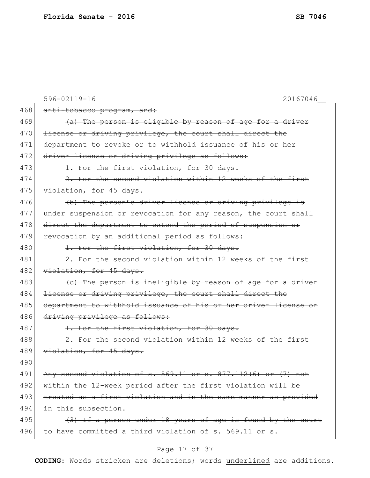|     | 596-02119-16<br>20167046                                        |
|-----|-----------------------------------------------------------------|
| 468 | anti-tobacco program, and:                                      |
| 469 | (a) The person is eligible by reason of age for a driver        |
| 470 | license or driving privilege, the court shall direct the        |
| 471 | department to revoke or to withhold issuance of his or her      |
| 472 | driver license or driving privilege as follows:                 |
| 473 | 1. For the first violation, for 30 days.                        |
| 474 | 2. For the second violation within 12 weeks of the first        |
| 475 | violation, for 45 days.                                         |
| 476 | (b) The person's driver license or driving privilege is         |
| 477 | under suspension or revocation for any reason, the court shall  |
| 478 | direct the department to extend the period of suspension or     |
| 479 | revocation by an additional period as follows:                  |
| 480 | 1. For the first violation, for 30 days.                        |
| 481 | 2. For the second violation within 12 weeks of the first        |
| 482 | violation, for 45 days.                                         |
| 483 | (e) The person is incligible by reason of age for a driver      |
| 484 | license or driving privilege, the court shall direct the        |
| 485 | department to withhold issuance of his or her driver license or |
| 486 | driving privilege as follows:                                   |
| 487 | 1. For the first violation, for 30 days.                        |
| 488 | 2. For the second violation within 12 weeks of the first        |
| 489 | violation, for 45 days.                                         |
| 490 |                                                                 |
| 491 | Any second violation of s. 569.11 or s. 877.112(6) or (7) not   |
| 492 | within the 12-week period after the first violation will be     |
| 493 | treated as a first violation and in the same manner as provided |
| 494 | in this subsection.                                             |
| 495 | (3) If a person under 18 years of age is found by the court     |
| 496 | to have committed a third violation of s. 569.11 or s.          |
|     |                                                                 |

# Page 17 of 37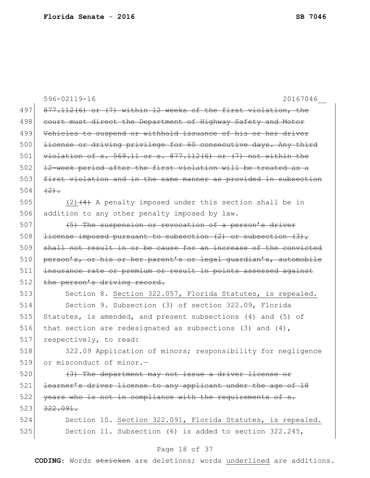|     | $596 - 02119 - 16$<br>20167046                                           |
|-----|--------------------------------------------------------------------------|
| 497 | 877.112(6) or (7) within 12 weeks of the first violation, the            |
| 498 | court must direct the Department of Highway Safety and Motor             |
| 499 | Vehicles to suspend or withhold issuance of his or her driver            |
| 500 | license or driving privilege for 60 consecutive days. Any third          |
| 501 | $violation of s. 569.11 or s. 877.112(6) or (7) not within the$          |
| 502 | 12-week period after the first violation will be treated as a            |
| 503 | first violation and in the same manner as provided in subsection         |
| 504 | $(2)$ .                                                                  |
| 505 | $(2)$ $(4)$ A penalty imposed under this section shall be in             |
| 506 | addition to any other penalty imposed by law.                            |
| 507 | (5) The suspension or revocation of a person's driver                    |
| 508 | <del>license imposed pursuant to subsection (2) or subsection (3),</del> |
| 509 | shall not result in or be cause for an increase of the convicted         |
| 510 | person's, or his or her parent's or legal guardian's, automobile         |
| 511 | insurance rate or premium or result in points assessed against           |
| 512 | the person's driving record.                                             |
| 513 | Section 8. Section 322.057, Florida Statutes, is repealed.               |
| 514 | Section 9. Subsection (3) of section 322.09, Florida                     |
| 515 | Statutes, is amended, and present subsections (4) and (5) of             |
| 516 | that section are redesignated as subsections (3) and $(4)$ ,             |
| 517 | respectively, to read:                                                   |
| 518 | 322.09 Application of minors; responsibility for negligence              |
| 519 | or misconduct of minor.-                                                 |
| 520 | (3) The department may not issue a driver license or                     |
| 521 | learner's driver license to any applicant under the age of 18            |
| 522 | years who is not in compliance with the requirements of s.               |
| 523 | 322.091.                                                                 |
| 524 | Section 10. Section 322.091, Florida Statutes, is repealed.              |
| 525 | Section 11. Subsection (6) is added to section 322.245,                  |
|     | Page 18 of 37                                                            |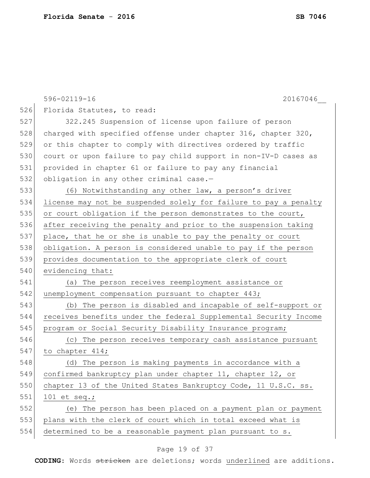|     | 596-02119-16<br>20167046                                         |
|-----|------------------------------------------------------------------|
| 526 | Florida Statutes, to read:                                       |
| 527 | 322.245 Suspension of license upon failure of person             |
| 528 | charged with specified offense under chapter 316, chapter 320,   |
| 529 | or this chapter to comply with directives ordered by traffic     |
| 530 | court or upon failure to pay child support in non-IV-D cases as  |
| 531 | provided in chapter 61 or failure to pay any financial           |
| 532 | obligation in any other criminal case.-                          |
| 533 | (6) Notwithstanding any other law, a person's driver             |
| 534 | license may not be suspended solely for failure to pay a penalty |
| 535 | or court obligation if the person demonstrates to the court,     |
| 536 | after receiving the penalty and prior to the suspension taking   |
| 537 | place, that he or she is unable to pay the penalty or court      |
| 538 | obligation. A person is considered unable to pay if the person   |
| 539 | provides documentation to the appropriate clerk of court         |
| 540 | evidencing that:                                                 |
| 541 | (a) The person receives reemployment assistance or               |
| 542 | unemployment compensation pursuant to chapter 443;               |
| 543 | (b) The person is disabled and incapable of self-support or      |
| 544 | receives benefits under the federal Supplemental Security Income |
| 545 | program or Social Security Disability Insurance program;         |
| 546 | (c) The person receives temporary cash assistance pursuant       |
| 547 | to chapter 414;                                                  |
| 548 | (d) The person is making payments in accordance with a           |
| 549 | confirmed bankruptcy plan under chapter 11, chapter 12, or       |
| 550 | chapter 13 of the United States Bankruptcy Code, 11 U.S.C. ss.   |
| 551 | 101 et seq.;                                                     |
| 552 | (e) The person has been placed on a payment plan or payment      |
| 553 | plans with the clerk of court which in total exceed what is      |
| 554 | determined to be a reasonable payment plan pursuant to s.        |

# Page 19 of 37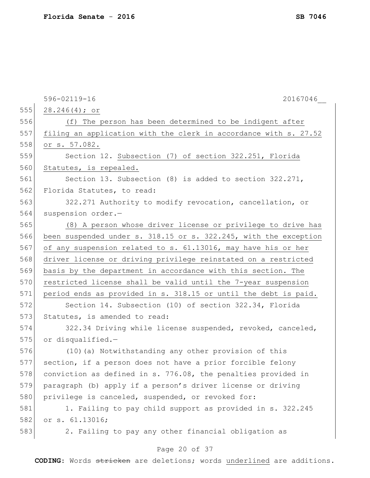|     | 596-02119-16<br>20167046                                         |
|-----|------------------------------------------------------------------|
| 555 | 28.246(4); or                                                    |
| 556 | (f) The person has been determined to be indigent after          |
| 557 | filing an application with the clerk in accordance with s. 27.52 |
| 558 | or s. 57.082.                                                    |
| 559 | Section 12. Subsection (7) of section 322.251, Florida           |
| 560 | Statutes, is repealed.                                           |
| 561 | Section 13. Subsection (8) is added to section 322.271,          |
| 562 | Florida Statutes, to read:                                       |
| 563 | 322.271 Authority to modify revocation, cancellation, or         |
| 564 | suspension order.-                                               |
| 565 | (8) A person whose driver license or privilege to drive has      |
| 566 | been suspended under s. 318.15 or s. 322.245, with the exception |
| 567 | of any suspension related to s. 61.13016, may have his or her    |
| 568 | driver license or driving privilege reinstated on a restricted   |
| 569 | basis by the department in accordance with this section. The     |
| 570 | restricted license shall be valid until the 7-year suspension    |
| 571 | period ends as provided in s. 318.15 or until the debt is paid.  |
| 572 | Section 14. Subsection (10) of section 322.34, Florida           |
| 573 | Statutes, is amended to read:                                    |
| 574 | 322.34 Driving while license suspended, revoked, canceled,       |
| 575 | or disqualified.-                                                |
| 576 | (10) (a) Notwithstanding any other provision of this             |
| 577 | section, if a person does not have a prior forcible felony       |
| 578 | conviction as defined in s. 776.08, the penalties provided in    |
| 579 | paragraph (b) apply if a person's driver license or driving      |
| 580 | privilege is canceled, suspended, or revoked for:                |
| 581 | 1. Failing to pay child support as provided in s. 322.245        |
| 582 | or s. 61.13016;                                                  |
| 583 | 2. Failing to pay any other financial obligation as              |
|     |                                                                  |

# Page 20 of 37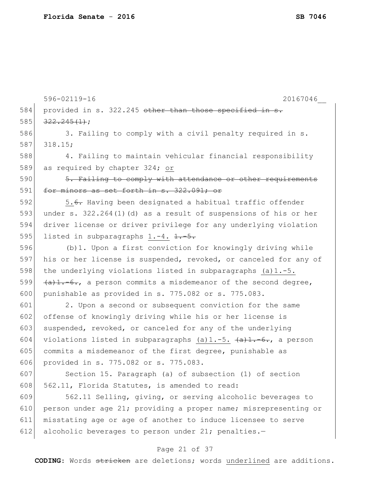596-02119-16 20167046\_\_ 584 provided in s. 322.245 other than those specified in s.  $585$   $322.245(1)$ ; 586 3. Failing to comply with a civil penalty required in s. 587 318.15; 588 4. Failing to maintain vehicular financial responsibility 589 as required by chapter 324; or 590 5. Failing to comply with attendance or other requirements 591 for minors as set forth in  $s. 322.091$ ; or 592 5.<del>6.</del> Having been designated a habitual traffic offender 593 under s. 322.264(1)(d) as a result of suspensions of his or her 594 driver license or driver privilege for any underlying violation 595 listed in subparagraphs  $1.-4.$   $1.-5.$ 596 (b)1. Upon a first conviction for knowingly driving while 597 his or her license is suspended, revoked, or canceled for any of 598 the underlying violations listed in subparagraphs  $(a)$ 1.-5. 599  $(a)$ 1.-6., a person commits a misdemeanor of the second degree, 600 punishable as provided in s. 775.082 or s. 775.083. 601 2. Upon a second or subsequent conviction for the same 602 offense of knowingly driving while his or her license is 603 suspended, revoked, or canceled for any of the underlying 604 violations listed in subparagraphs (a)1.-5.  $\left\{\alpha\right\}$ 1.-6., a person 605 commits a misdemeanor of the first degree, punishable as 606 provided in s. 775.082 or s. 775.083. 607 Section 15. Paragraph (a) of subsection (1) of section 608 562.11, Florida Statutes, is amended to read: 609 562.11 Selling, giving, or serving alcoholic beverages to 610 person under age 21; providing a proper name; misrepresenting or 611 misstating age or age of another to induce licensee to serve 612 alcoholic beverages to person under 21; penalties.-

### Page 21 of 37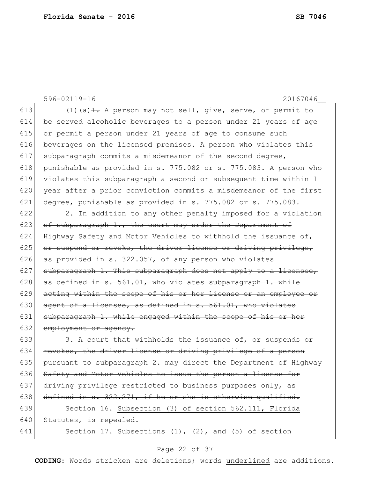596-02119-16 20167046\_\_ 613 (1) (a)  $\pm$ . A person may not sell, give, serve, or permit to 614 be served alcoholic beverages to a person under 21 years of age 615 or permit a person under 21 years of age to consume such 616 beverages on the licensed premises. A person who violates this 617 subparagraph commits a misdemeanor of the second degree, 618 punishable as provided in s. 775.082 or s. 775.083. A person who 619 violates this subparagraph a second or subsequent time within 1 620 year after a prior conviction commits a misdemeanor of the first 621 degree, punishable as provided in s. 775.082 or s. 775.083.  $622$  2. In addition to any other penalty imposed for a violation 623 of subparagraph 1., the court may order the Department of 624 Highway Safety and Motor Vehicles to withhold the issuance of,  $625$  or suspend or revoke, the driver license or driving privilege, 626 as provided in s.  $322.057$ , of any person who violates  $627$  subparagraph 1. This subparagraph does not apply to a licensee, 628  $\vert$  as defined in s. 561.01, who violates subparagraph 1. while 629 acting within the scope of his or her license or an employee or 630  $\sigma$  agent of a licensee, as defined in s. 561.01, who violates 631 subparagraph 1. while engaged within the scope of his or her 632 employment or agency.  $633$   $\overline{3}$ . A court that withholds the issuance of, or suspends or 634 revokes, the driver license or driving privilege of a person 635 pursuant to subparagraph 2. may direct the Department of Highway 636 Safety and Motor Vehicles to issue the person a license for 637 driving privilege restricted to business purposes only, as 638 defined in  $s. 322.271$ , if he or she is otherwise qualified. 639 Section 16. Subsection (3) of section 562.111, Florida 640 Statutes, is repealed. 641 Section 17. Subsections  $(1)$ ,  $(2)$ , and  $(5)$  of section

#### Page 22 of 37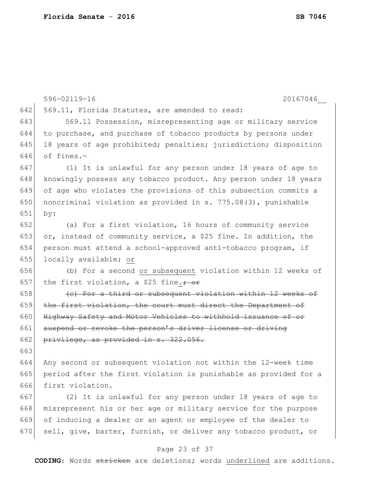|     | 596-02119-16<br>20167046                                         |
|-----|------------------------------------------------------------------|
| 642 | 569.11, Florida Statutes, are amended to read:                   |
| 643 | 569.11 Possession, misrepresenting age or military service       |
| 644 | to purchase, and purchase of tobacco products by persons under   |
| 645 | 18 years of age prohibited; penalties; jurisdiction; disposition |
| 646 | of fines.-                                                       |
| 647 | (1) It is unlawful for any person under 18 years of age to       |
| 648 | knowingly possess any tobacco product. Any person under 18 years |
| 649 | of age who violates the provisions of this subsection commits a  |
| 650 | noncriminal violation as provided in s. 775.08(3), punishable    |
| 651 | by:                                                              |
| 652 | (a) For a first violation, 16 hours of community service         |
| 653 | or, instead of community service, a \$25 fine. In addition, the  |
| 654 | person must attend a school-approved anti-tobacco program, if    |
| 655 | locally available; or                                            |
| 656 | (b) For a second or subsequent violation within 12 weeks of      |
| 657 | the first violation, a \$25 fine. $\div$ or                      |
| 658 | (e) For a third or subsequent violation within 12 weeks of       |
| 659 | the first violation, the court must direct the Department of     |
| 660 | Highway Safety and Motor Vehicles to withhold issuance of or     |
| 661 | suspend or revoke the person's driver license or driving         |
| 662 | privilege, as provided in s. 322.056.                            |
| 663 |                                                                  |
| 664 | Any second or subsequent violation not within the 12-week time   |
| 665 | period after the first violation is punishable as provided for a |
| 666 | first violation.                                                 |
| 667 | (2) It is unlawful for any person under 18 years of age to       |
| 668 | misrepresent his or her age or military service for the purpose  |
| 669 | of inducing a dealer or an agent or employee of the dealer to    |
| 670 | sell, give, barter, furnish, or deliver any tobacco product, or  |

# Page 23 of 37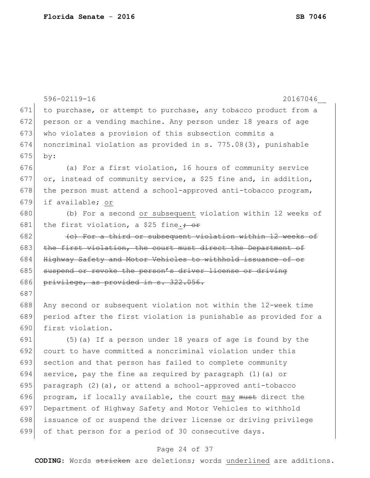|     | 596-02119-16<br>20167046                                         |
|-----|------------------------------------------------------------------|
| 671 | to purchase, or attempt to purchase, any tobacco product from a  |
| 672 | person or a vending machine. Any person under 18 years of age    |
| 673 | who violates a provision of this subsection commits a            |
| 674 | noncriminal violation as provided in s. 775.08(3), punishable    |
| 675 | by:                                                              |
| 676 | (a) For a first violation, 16 hours of community service         |
| 677 | or, instead of community service, a \$25 fine and, in addition,  |
| 678 | the person must attend a school-approved anti-tobacco program,   |
| 679 | if available; or                                                 |
| 680 | (b) For a second or subsequent violation within 12 weeks of      |
| 681 | the first violation, a \$25 fine. $\div$ or                      |
| 682 | (e) For a third or subsequent violation within 12 weeks of       |
| 683 | the first violation, the court must direct the Department of     |
| 684 | Highway Safety and Motor Vehicles to withhold issuance of or     |
| 685 | suspend or revoke the person's driver license or driving         |
| 686 | privilege, as provided in s. 322.056.                            |
| 687 |                                                                  |
| 688 | Any second or subsequent violation not within the 12-week time   |
| 689 | period after the first violation is punishable as provided for a |
| 690 | first violation.                                                 |
| 691 | (5) (a) If a person under 18 years of age is found by the        |
| 692 | court to have committed a noncriminal violation under this       |
| 693 | section and that person has failed to complete community         |
| 694 | service, pay the fine as required by paragraph (1) (a) or        |
| 695 | paragraph (2)(a), or attend a school-approved anti-tobacco       |
| 696 | program, if locally available, the court may must direct the     |
| 697 | Department of Highway Safety and Motor Vehicles to withhold      |
| 698 | issuance of or suspend the driver license or driving privilege   |
| 699 | of that person for a period of 30 consecutive days.              |

# Page 24 of 37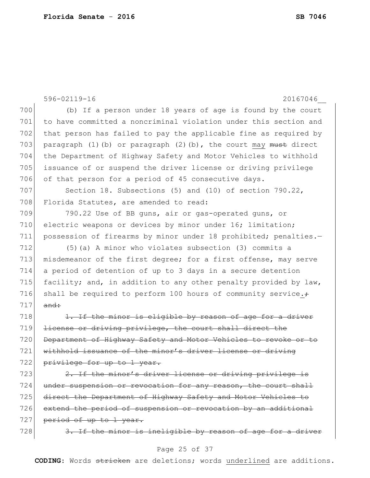596-02119-16 20167046\_\_ 700 (b) If a person under 18 years of age is found by the court 701 to have committed a noncriminal violation under this section and 702 that person has failed to pay the applicable fine as required by 703 paragraph (1)(b) or paragraph (2)(b), the court may must direct 704 the Department of Highway Safety and Motor Vehicles to withhold 705 issuance of or suspend the driver license or driving privilege 706 of that person for a period of 45 consecutive days. 707 Section 18. Subsections (5) and (10) of section 790.22, 708 Florida Statutes, are amended to read: 709 790.22 Use of BB guns, air or gas-operated guns, or 710 electric weapons or devices by minor under 16; limitation; 711 possession of firearms by minor under 18 prohibited; penalties.-712 (5)(a) A minor who violates subsection (3) commits a 713 misdemeanor of the first degree; for a first offense, may serve 714 a period of detention of up to 3 days in a secure detention 715 facility; and, in addition to any other penalty provided by law, 716 shall be required to perform 100 hours of community service. $\div$  $717$  and:  $718$  1. If the minor is eligible by reason of age for a driver 719 <del>license or driving privilege, the court shall direct the</del> 720 Department of Highway Safety and Motor Vehicles to revoke or to 721 withhold issuance of the minor's driver license or driving 722 privilege for up to 1 year. 723  $\sim$  2. If the minor's driver license or driving privilege is 724 under suspension or revocation for any reason, the court shall

725 direct the Department of Highway Safety and Motor Vehicles to 726 extend the period of suspension or revocation by an additional 727 period of up to 1 year.

728  $\frac{3.1f}{7.28}$  3. If the minor is ineligible by reason of age for a driver

#### Page 25 of 37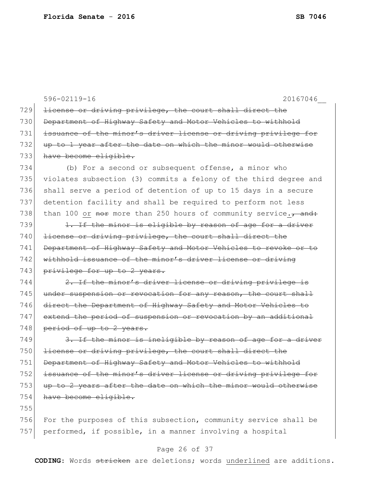596-02119-16 20167046\_\_ 729 license or driving privilege, the court shall direct the 730 Department of Highway Safety and Motor Vehicles to withhold 731 issuance of the minor's driver license or driving privilege for 732 up to 1 year after the date on which the minor would otherwise 733 have become eligible. 734 (b) For a second or subsequent offense, a minor who 735 violates subsection (3) commits a felony of the third degree and 736 shall serve a period of detention of up to 15 days in a secure 737 detention facility and shall be required to perform not less 738 than 100 or nore than 250 hours of community service. $\tau$  and: 739  $\vert$  1. If the minor is eligible by reason of age for a driver 740 license or driving privilege, the court shall direct the 741 Department of Highway Safety and Motor Vehicles to revoke or to 742 withhold issuance of the minor's driver license or driving 743 privilege for up to 2 years. 744  $\left| \right|$  2. If the minor's driver license or driving privilege is 745 under suspension or revocation for any reason, the court shall 746 direct the Department of Highway Safety and Motor Vehicles to 747 extend the period of suspension or revocation by an additional 748 period of up to 2 years.  $749$  3. If the minor is ineligible by reason of age for a driver 750 license or driving privilege, the court shall direct the 751 Department of Highway Safety and Motor Vehicles to withhold 752 issuance of the minor's driver license or driving privilege for 753 up to 2 years after the date on which the minor would otherwise 754 have become eligible. 755 756 For the purposes of this subsection, community service shall be 757 performed, if possible, in a manner involving a hospital

### Page 26 of 37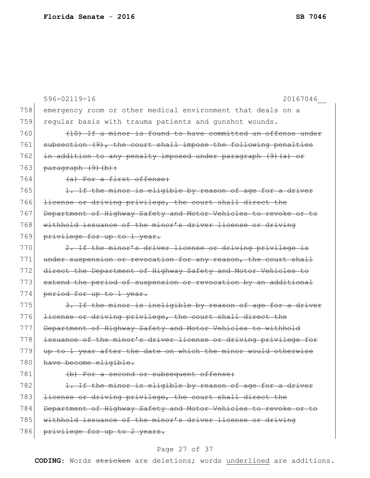|     | 596-02119-16<br>20167046                                        |
|-----|-----------------------------------------------------------------|
| 758 | emergency room or other medical environment that deals on a     |
| 759 | regular basis with trauma patients and gunshot wounds.          |
| 760 | (10) If a minor is found to have committed an offense under     |
| 761 | subsection (9), the court shall impose the following penalties  |
| 762 | in addition to any penalty imposed under paragraph (9) (a) or   |
| 763 | paragraph (9)(b):                                               |
| 764 | (a) For a first offense:                                        |
| 765 | 1. If the minor is eligible by reason of age for a driver       |
| 766 | license or driving privilege, the court shall direct the        |
| 767 | Department of Highway Safety and Motor Vehicles to revoke or to |
| 768 | withhold issuance of the minor's driver license or driving      |
| 769 | privilege for up to 1 year.                                     |
| 770 | 2. If the minor's driver license or driving privilege is        |
| 771 | under suspension or revocation for any reason, the court shall  |
| 772 | direct the Department of Highway Safety and Motor Vehicles to   |
| 773 | extend the period of suspension or revocation by an additional  |
| 774 | period for up to 1 year.                                        |
| 775 | 3. If the minor is ineligible by reason of age for a driver     |
| 776 | license or driving privilege, the court shall direct the        |
| 777 | Department of Highway Safety and Motor Vehicles to withhold     |
| 778 | issuance of the minor's driver license or driving privilege for |
| 779 | up to 1 year after the date on which the minor would otherwise  |
| 780 | have become eligible.                                           |
| 781 | (b) For a second or subsequent offense:                         |
| 782 | 1. If the minor is eligible by reason of age for a driver       |
| 783 | license or driving privilege, the court shall direct the        |
| 784 | Department of Highway Safety and Motor Vehicles to revoke or to |
| 785 | withhold issuance of the minor's driver license or driving      |
| 786 | privilege for up to 2 years.                                    |
|     |                                                                 |

# Page 27 of 37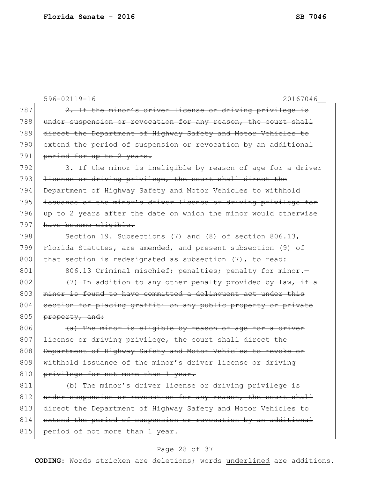|     | 596-02119-16<br>20167046                                        |
|-----|-----------------------------------------------------------------|
| 787 | 2. If the minor's driver license or driving privilege is        |
| 788 | under suspension or revocation for any reason, the court shall  |
| 789 | direct the Department of Highway Safety and Motor Vehicles to   |
| 790 | extend the period of suspension or revocation by an additional  |
| 791 | period for up to 2 years.                                       |
| 792 | 3. If the minor is ineligible by reason of age for a driver     |
| 793 | license or driving privilege, the court shall direct the        |
| 794 | Department of Highway Safety and Motor Vehicles to withhold     |
| 795 | issuance of the minor's driver license or driving privilege for |
| 796 | up to 2 years after the date on which the minor would otherwise |
| 797 | have become eligible.                                           |
| 798 | Section 19. Subsections (7) and (8) of section 806.13,          |
| 799 | Florida Statutes, are amended, and present subsection (9) of    |
| 800 | that section is redesignated as subsection (7), to read:        |
| 801 | 806.13 Criminal mischief; penalties; penalty for minor.-        |
| 802 | (7) In addition to any other penalty provided by law, if a      |
| 803 | minor is found to have committed a delinquent act under this    |
| 804 | section for placing graffiti on any public property or private  |
| 805 | property, and:                                                  |
| 806 | (a) The minor is eligible by reason of age for a driver         |
| 807 | license or driving privilege, the court shall direct the        |
| 808 | Department of Highway Safety and Motor Vehicles to revoke or    |
| 809 | withhold issuance of the minor's driver license or driving      |
| 810 | privilege for not more than 1 year.                             |
| 811 | (b) The minor's driver license or driving privilege is          |
| 812 | under suspension or revocation for any reason, the court shall  |
| 813 | direct the Department of Highway Safety and Motor Vehicles to   |
| 814 | extend the period of suspension or revocation by an additional  |
| 815 | period of not more than 1 year.                                 |

# Page 28 of 37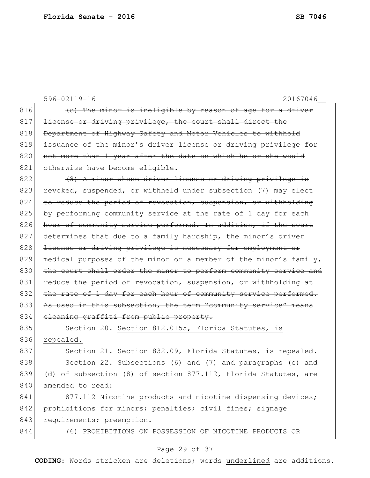|     | 596-02119-16<br>20167046                                         |
|-----|------------------------------------------------------------------|
| 816 | (e) The minor is ineligible by reason of age for a driver        |
| 817 | license or driving privilege, the court shall direct the         |
| 818 | Department of Highway Safety and Motor Vehicles to withhold      |
| 819 | issuance of the minor's driver license or driving privilege for  |
| 820 | not more than 1 year after the date on which he or she would     |
| 821 | otherwise have become eligible.                                  |
| 822 | (8) A minor whose driver license or driving privilege is         |
| 823 | revoked, suspended, or withheld under subsection (7) may elect   |
| 824 | to reduce the period of revocation, suspension, or withholding   |
| 825 | by performing community service at the rate of 1 day for each    |
| 826 | hour of community service performed. In addition, if the court   |
| 827 | determines that due to a family hardship, the minor's driver     |
| 828 | license or driving privilege is necessary for employment or      |
| 829 | medical purposes of the minor or a member of the minor's family, |
| 830 | the court shall order the minor to perform community service and |
| 831 | reduce the period of revocation, suspension, or withholding at   |
| 832 | the rate of 1 day for each hour of community service performed.  |
| 833 | As used in this subsection, the term "community service" means   |
| 834 | cleaning graffiti from public property.                          |
| 835 | Section 20. Section 812.0155, Florida Statutes, is               |
| 836 | repealed.                                                        |
| 837 | Section 21. Section 832.09, Florida Statutes, is repealed.       |
| 838 | Section 22. Subsections (6) and (7) and paragraphs (c) and       |
| 839 | (d) of subsection (8) of section 877.112, Florida Statutes, are  |
| 840 | amended to read:                                                 |
| 841 | 877.112 Nicotine products and nicotine dispensing devices;       |
| 842 | prohibitions for minors; penalties; civil fines; signage         |
| 843 | requirements; preemption.-                                       |
| 844 | (6) PROHIBITIONS ON POSSESSION OF NICOTINE PRODUCTS OR           |
|     |                                                                  |

# Page 29 of 37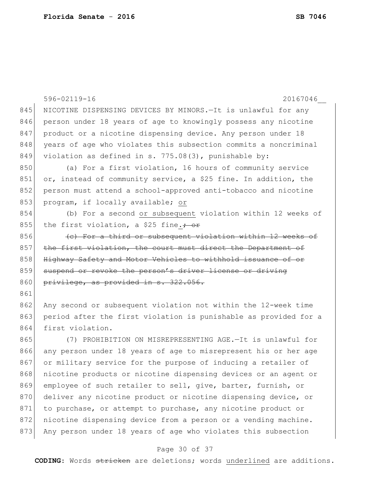|     | 596-02119-16<br>20167046                                         |
|-----|------------------------------------------------------------------|
| 845 | NICOTINE DISPENSING DEVICES BY MINORS.-It is unlawful for any    |
| 846 | person under 18 years of age to knowingly possess any nicotine   |
| 847 | product or a nicotine dispensing device. Any person under 18     |
| 848 | years of age who violates this subsection commits a noncriminal  |
| 849 | violation as defined in s. 775.08(3), punishable by:             |
| 850 | (a) For a first violation, 16 hours of community service         |
| 851 | or, instead of community service, a \$25 fine. In addition, the  |
| 852 | person must attend a school-approved anti-tobacco and nicotine   |
| 853 | program, if locally available; or                                |
| 854 | (b) For a second or subsequent violation within 12 weeks of      |
| 855 | the first violation, a \$25 fine. $\div$ or                      |
| 856 | (e) For a third or subsequent violation within 12 weeks of       |
| 857 | the first violation, the court must direct the Department of     |
| 858 | Highway Safety and Motor Vehicles to withhold issuance of or     |
| 859 | suspend or revoke the person's driver license or driving         |
| 860 | privilege, as provided in s. 322.056.                            |
| 861 |                                                                  |
| 862 | Any second or subsequent violation not within the 12-week time   |
| 863 | period after the first violation is punishable as provided for a |
| 864 | first violation.                                                 |
| 865 | (7) PROHIBITION ON MISREPRESENTING AGE.-It is unlawful for       |
| 866 | any person under 18 years of age to misrepresent his or her age  |
| 867 | or military service for the purpose of inducing a retailer of    |
| 868 | nicotine products or nicotine dispensing devices or an agent or  |
| 869 | employee of such retailer to sell, give, barter, furnish, or     |
| 870 | deliver any nicotine product or nicotine dispensing device, or   |
| 871 | to purchase, or attempt to purchase, any nicotine product or     |
| 872 | nicotine dispensing device from a person or a vending machine.   |

### Page 30 of 37

873 Any person under 18 years of age who violates this subsection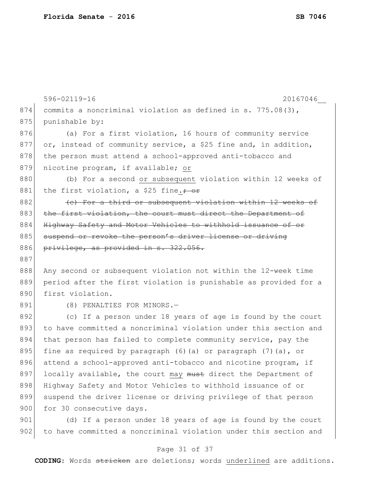|     | 596-02119-16<br>20167046                                           |
|-----|--------------------------------------------------------------------|
| 874 | commits a noncriminal violation as defined in s. $775.08(3)$ ,     |
| 875 | punishable by:                                                     |
| 876 | (a) For a first violation, 16 hours of community service           |
| 877 | or, instead of community service, a \$25 fine and, in addition,    |
| 878 | the person must attend a school-approved anti-tobacco and          |
| 879 | nicotine program, if available; or                                 |
| 880 | (b) For a second or subsequent violation within 12 weeks of        |
| 881 | the first violation, a \$25 fine. $\div$ or                        |
| 882 | (e) For a third or subsequent violation within 12 weeks of         |
| 883 | the first violation, the court must direct the Department of       |
| 884 | Highway Safety and Motor Vehicles to withhold issuance of or       |
| 885 | suspend or revoke the person's driver license or driving           |
| 886 | privilege, as provided in s. 322.056.                              |
| 887 |                                                                    |
| 888 | Any second or subsequent violation not within the 12-week time     |
| 889 | period after the first violation is punishable as provided for a   |
| 890 | first violation.                                                   |
| 891 | (8) PENALTIES FOR MINORS.-                                         |
| 892 | (c) If a person under 18 years of age is found by the court        |
| 893 | to have committed a noncriminal violation under this section and   |
| 894 | that person has failed to complete community service, pay the      |
| 895 | fine as required by paragraph $(6)$ (a) or paragraph $(7)$ (a), or |
| 896 | attend a school-approved anti-tobacco and nicotine program, if     |
| 897 | locally available, the court may must direct the Department of     |
| 898 | Highway Safety and Motor Vehicles to withhold issuance of or       |
| 899 | suspend the driver license or driving privilege of that person     |
| 900 | for 30 consecutive days.                                           |
| 901 | (d) If a person under 18 years of age is found by the court        |
| 902 | to have committed a noncriminal violation under this section and   |

# Page 31 of 37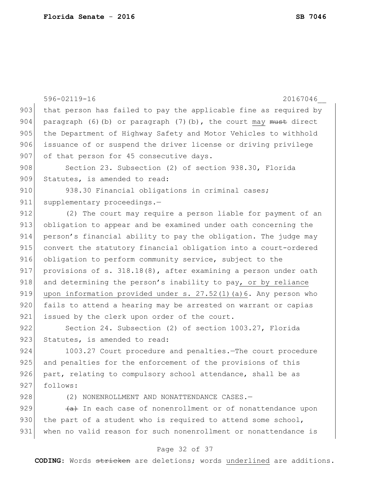|     | 596-02119-16<br>20167046                                              |
|-----|-----------------------------------------------------------------------|
| 903 | that person has failed to pay the applicable fine as required by      |
| 904 | paragraph $(6)$ (b) or paragraph $(7)$ (b), the court may must direct |
| 905 | the Department of Highway Safety and Motor Vehicles to withhold       |
| 906 | issuance of or suspend the driver license or driving privilege        |
| 907 | of that person for 45 consecutive days.                               |
| 908 | Section 23. Subsection (2) of section 938.30, Florida                 |
| 909 | Statutes, is amended to read:                                         |
| 910 | 938.30 Financial obligations in criminal cases;                       |
| 911 | supplementary proceedings.-                                           |
| 912 | (2) The court may require a person liable for payment of an           |
| 913 | obligation to appear and be examined under oath concerning the        |
| 914 | person's financial ability to pay the obligation. The judge may       |
| 915 | convert the statutory financial obligation into a court-ordered       |
| 916 | obligation to perform community service, subject to the               |
| 917 | provisions of s. 318.18(8), after examining a person under oath       |
| 918 | and determining the person's inability to pay, or by reliance         |
| 919 | upon information provided under s. 27.52(1)(a)6. Any person who       |
| 920 | fails to attend a hearing may be arrested on warrant or capias        |
| 921 | issued by the clerk upon order of the court.                          |
| 922 | Section 24. Subsection (2) of section 1003.27, Florida                |
| 923 | Statutes, is amended to read:                                         |
| 924 | 1003.27 Court procedure and penalties. The court procedure            |
| 925 | and penalties for the enforcement of the provisions of this           |
| 926 | part, relating to compulsory school attendance, shall be as           |
| 927 | follows:                                                              |
| 928 | (2) NONENROLLMENT AND NONATTENDANCE CASES.-                           |
| 929 | $\overline{a}$ In each case of nonenrollment or of nonattendance upon |
| 930 | the part of a student who is required to attend some school,          |
|     |                                                                       |

# 931 when no valid reason for such nonenrollment or nonattendance is

### Page 32 of 37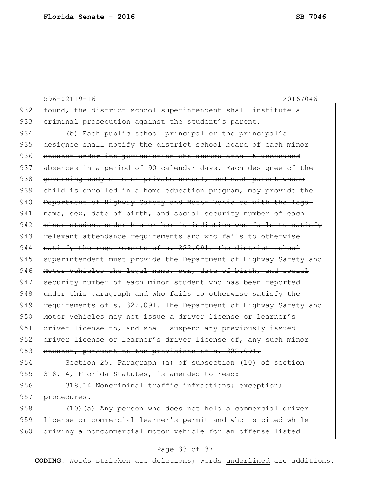596-02119-16 20167046\_\_ 932 found, the district school superintendent shall institute a 933 criminal prosecution against the student's parent. 934 (b) Each public school principal or the principal's 935 designee shall notify the district school board of each minor 936 student under its jurisdiction who accumulates 15 unexcused 937 absences in a period of 90 calendar days. Each designee of the 938 governing body of each private school, and each parent whose 939 child is enrolled in a home education program, may provide the 940 Department of Highway Safety and Motor Vehicles with the legal 941 | name, sex, date of birth, and social security number of each 942 minor student under his or her jurisdiction who fails to satisfy 943 relevant attendance requirements and who fails to otherwise 944 satisfy the requirements of s. 322.091. The district school 945 superintendent must provide the Department of Highway Safety and 946 Motor Vehicles the legal name, sex, date of birth, and social 947 security number of each minor student who has been reported 948 under this paragraph and who fails to otherwise satisfy the 949 requirements of s. 322.091. The Department of Highway Safety and 950 Motor Vehicles may not issue a driver license or learner's 951 driver license to, and shall suspend any previously issued 952 driver license or learner's driver license of, any such minor 953 student, pursuant to the provisions of s. 322.091. 954 Section 25. Paragraph (a) of subsection (10) of section 955 318.14, Florida Statutes, is amended to read: 956 318.14 Noncriminal traffic infractions; exception; 957 procedures.-

958 (10)(a) Any person who does not hold a commercial driver 959 license or commercial learner's permit and who is cited while 960 driving a noncommercial motor vehicle for an offense listed

### Page 33 of 37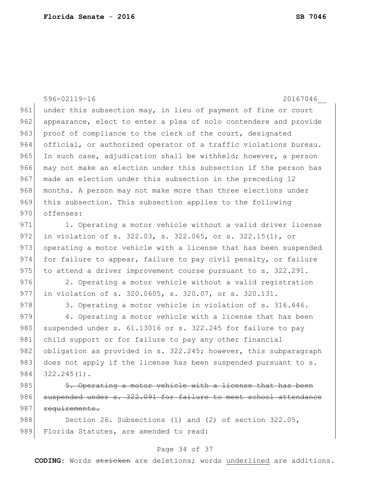596-02119-16 20167046\_\_ 961 under this subsection may, in lieu of payment of fine or court 962 appearance, elect to enter a plea of nolo contendere and provide 963 proof of compliance to the clerk of the court, designated 964 official, or authorized operator of a traffic violations bureau. 965 In such case, adjudication shall be withheld; however, a person 966 may not make an election under this subsection if the person has 967 made an election under this subsection in the preceding 12 968 months. A person may not make more than three elections under 969 this subsection. This subsection applies to the following 970 offenses: 971 1. Operating a motor vehicle without a valid driver license 972 in violation of s. 322.03, s. 322.065, or s. 322.15(1), or 973 operating a motor vehicle with a license that has been suspended 974 for failure to appear, failure to pay civil penalty, or failure  $975$  to attend a driver improvement course pursuant to s. 322.291. 976 2. Operating a motor vehicle without a valid registration 977 in violation of s. 320.0605, s. 320.07, or s. 320.131. 978 3. Operating a motor vehicle in violation of s. 316.646. 979 4. Operating a motor vehicle with a license that has been 980 suspended under s.  $61.13016$  or s. 322.245 for failure to pay 981 child support or for failure to pay any other financial 982 obligation as provided in s. 322.245; however, this subparagraph 983 does not apply if the license has been suspended pursuant to s. 984 322.245(1). 985 5. Operating a motor vehicle with a license that has been 986 suspended under s. 322.091 for failure to meet school attendance 987 requirements. 988 Section 26. Subsections (1) and (2) of section 322.05,

#### Page 34 of 37

989 Florida Statutes, are amended to read: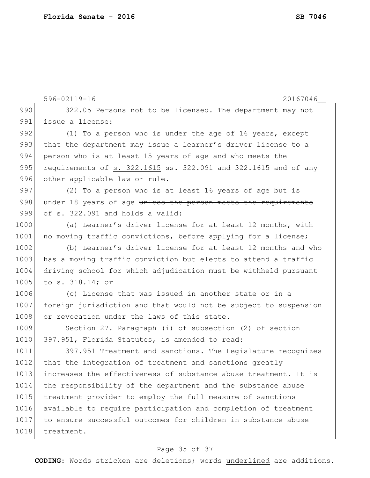```
596-02119-16 20167046__
 990 322.05 Persons not to be licensed. The department may not
 991 issue a license:
 992 (1) To a person who is under the age of 16 years, except
 993 that the department may issue a learner's driver license to a
 994 person who is at least 15 years of age and who meets the
 995 requirements of s. 322.1615 \texttt{ss.} 322.091 and 322.1615 and of any
 996 other applicable law or rule.
 997 (2) To a person who is at least 16 years of age but is
 998 under 18 years of age unless the person meets the requirements
 999 of s. 322.091 and holds a valid:
1000 (a) Learner's driver license for at least 12 months, with
1001 no moving traffic convictions, before applying for a license;
1002 (b) Learner's driver license for at least 12 months and who
1003 has a moving traffic conviction but elects to attend a traffic
1004 driving school for which adjudication must be withheld pursuant
1005 to s. 318.14; or
1006 (c) License that was issued in another state or in a
1007 foreign jurisdiction and that would not be subject to suspension 
1008 or revocation under the laws of this state.
1009 Section 27. Paragraph (i) of subsection (2) of section
1010 397.951, Florida Statutes, is amended to read:
1011 397.951 Treatment and sanctions.—The Legislature recognizes 
1012 that the integration of treatment and sanctions greatly
1013 increases the effectiveness of substance abuse treatment. It is
1014 the responsibility of the department and the substance abuse 
1015 treatment provider to employ the full measure of sanctions
1016 available to require participation and completion of treatment 
1017 to ensure successful outcomes for children in substance abuse 
1018 treatment.
```
### Page 35 of 37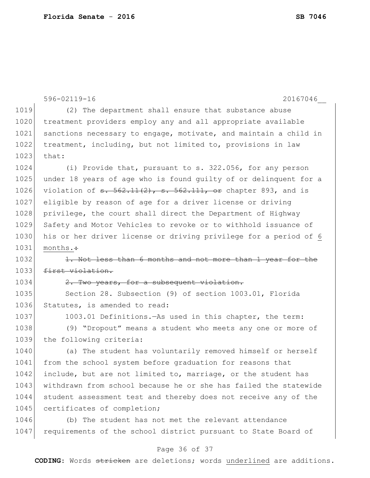|      | $596 - 02119 - 16$<br>20167046                                                    |
|------|-----------------------------------------------------------------------------------|
| 1019 | (2) The department shall ensure that substance abuse                              |
| 1020 | treatment providers employ any and all appropriate available                      |
| 1021 | sanctions necessary to engage, motivate, and maintain a child in                  |
| 1022 | treatment, including, but not limited to, provisions in law                       |
| 1023 | that:                                                                             |
| 1024 | (i) Provide that, pursuant to s. 322.056, for any person                          |
| 1025 | under 18 years of age who is found guilty of or delinquent for a                  |
| 1026 | violation of $\frac{1}{562.11(2)}$ , $\frac{1}{562.111}$ , or chapter 893, and is |
| 1027 | eligible by reason of age for a driver license or driving                         |
| 1028 | privilege, the court shall direct the Department of Highway                       |
| 1029 | Safety and Motor Vehicles to revoke or to withhold issuance of                    |
| 1030 | his or her driver license or driving privilege for a period of 6                  |
| 1031 | months. $\div$                                                                    |
| 1032 | 1. Not less than 6 months and not more than 1 year for the                        |
| 1033 | first violation.                                                                  |
| 1034 | 2. Two years, for a subsequent violation.                                         |
| 1035 | Section 28. Subsection (9) of section 1003.01, Florida                            |
| 1036 | Statutes, is amended to read:                                                     |
| 1037 | 1003.01 Definitions. - As used in this chapter, the term:                         |
| 1038 | (9) "Dropout" means a student who meets any one or more of                        |
| 1039 | the following criteria:                                                           |
| 1040 | (a) The student has voluntarily removed himself or herself                        |
| 1041 | from the school system before graduation for reasons that                         |
| 1042 | include, but are not limited to, marriage, or the student has                     |
| 1043 | withdrawn from school because he or she has failed the statewide                  |
| 1044 | student assessment test and thereby does not receive any of the                   |
| 1045 | certificates of completion;                                                       |
| 1046 | (b) The student has not met the relevant attendance                               |
| 1047 | requirements of the school district pursuant to State Board of                    |
|      |                                                                                   |

# Page 36 of 37